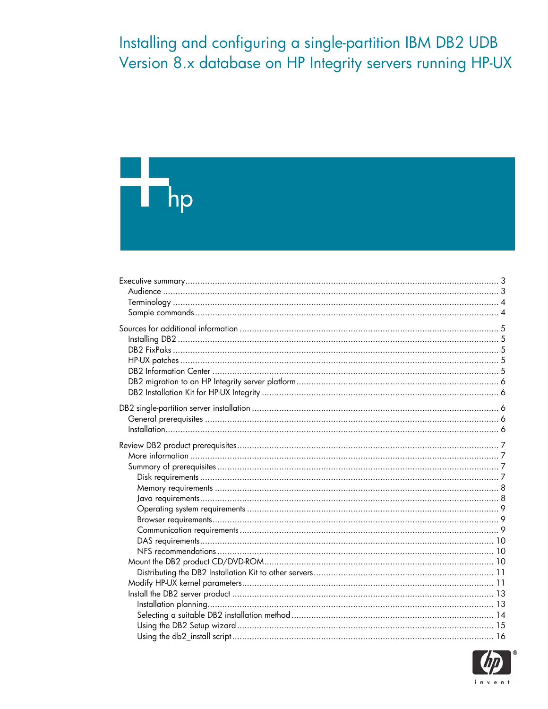Installing and configuring a single-partition IBM DB2 UDB Version 8.x database on HP Integrity servers running HP-UX

# H hp

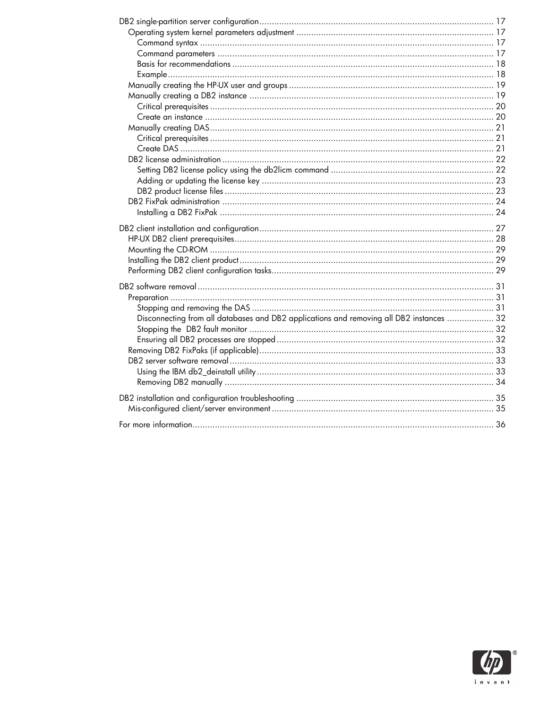| Disconnecting from all databases and DB2 applications and removing all DB2 instances  32 |  |
|------------------------------------------------------------------------------------------|--|
|                                                                                          |  |
|                                                                                          |  |
|                                                                                          |  |
|                                                                                          |  |
|                                                                                          |  |
|                                                                                          |  |
|                                                                                          |  |
|                                                                                          |  |
|                                                                                          |  |
|                                                                                          |  |

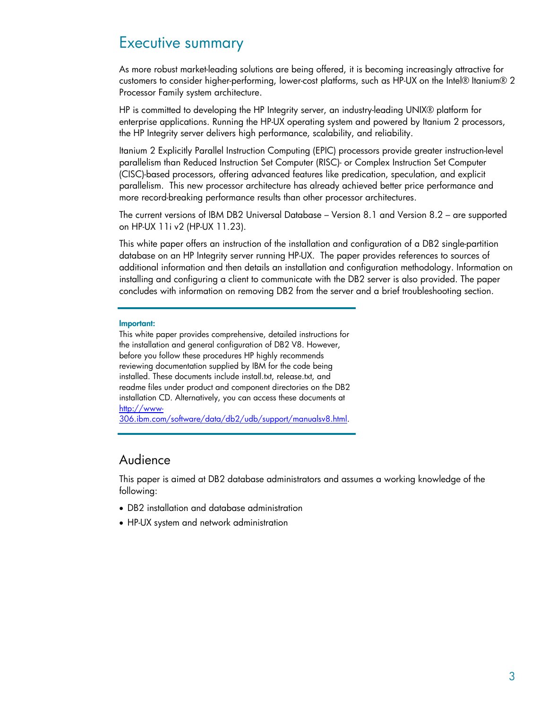# <span id="page-2-0"></span>Executive summary

As more robust market-leading solutions are being offered, it is becoming increasingly attractive for customers to consider higher-performing, lower-cost platforms, such as HP-UX on the Intel® Itanium® 2 Processor Family system architecture.

HP is committed to developing the HP Integrity server, an industry-leading UNIX® platform for enterprise applications. Running the HP-UX operating system and powered by Itanium 2 processors, the HP Integrity server delivers high performance, scalability, and reliability.

Itanium 2 Explicitly Parallel Instruction Computing (EPIC) processors provide greater instruction-level parallelism than Reduced Instruction Set Computer (RISC)- or Complex Instruction Set Computer (CISC)-based processors, offering advanced features like predication, speculation, and explicit parallelism. This new processor architecture has already achieved better price performance and more record-breaking performance results than other processor architectures.

The current versions of IBM DB2 Universal Database – Version 8.1 and Version 8.2 – are supported on HP-UX 11i v2 (HP-UX 11.23).

This white paper offers an instruction of the installation and configuration of a DB2 single-partition database on an HP Integrity server running HP-UX. The paper provides references to sources of additional information and then details an installation and configuration methodology. Information on installing and configuring a client to communicate with the DB2 server is also provided. The paper concludes with information on removing DB2 from the server and a brief troubleshooting section.

#### **Important:**

This white paper provides comprehensive, detailed instructions for the installation and general configuration of DB2 V8. However, before you follow these procedures HP highly recommends reviewing documentation supplied by IBM for the code being installed. These documents include install.txt, release.txt, and readme files under product and component directories on the DB2 installation CD. Alternatively, you can access these documents at [http://www-](http://www-306.ibm.com/software/data/db2/udb/support/manualsv8.html)[306.ibm.com/software/data/db2/udb/support/manualsv8.html.](http://www-306.ibm.com/software/data/db2/udb/support/manualsv8.html)

# Audience

This paper is aimed at DB2 database administrators and assumes a working knowledge of the following:

- DB2 installation and database administration
- HP-UX system and network administration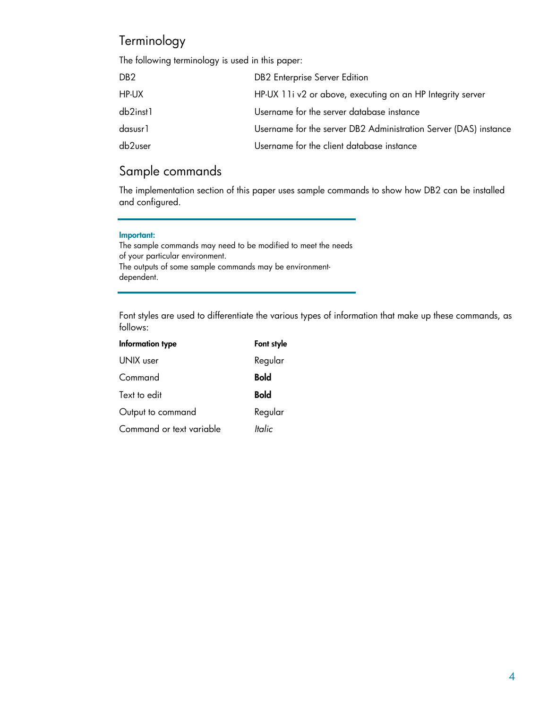# <span id="page-3-0"></span>**Terminology**

The following terminology is used in this paper:

| DB <sub>2</sub> | DB2 Enterprise Server Edition                                    |
|-----------------|------------------------------------------------------------------|
| HP-UX           | HP-UX 11i v2 or above, executing on an HP Integrity server       |
| db2inst1        | Username for the server database instance                        |
| dasusr1         | Username for the server DB2 Administration Server (DAS) instance |
| db2user         | Username for the client database instance                        |

# Sample commands

The implementation section of this paper uses sample commands to show how DB2 can be installed and configured.

#### **Important:**

The sample commands may need to be modified to meet the needs of your particular environment. The outputs of some sample commands may be environmentdependent.

Font styles are used to differentiate the various types of information that make up these commands, as follows:

| Information type         | Font style    |
|--------------------------|---------------|
| UNIX user                | Regular       |
| Command                  | <b>Bold</b>   |
| Text to edit             | <b>Bold</b>   |
| Output to command        | Regular       |
| Command or text variable | <b>Italic</b> |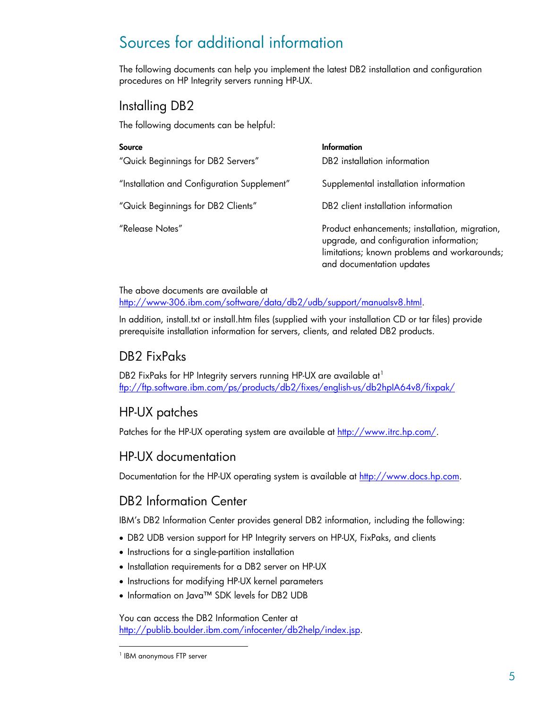# <span id="page-4-0"></span>Sources for additional information

The following documents can help you implement the latest DB2 installation and configuration procedures on HP Integrity servers running HP-UX.

# Installing DB2

The following documents can be helpful:

| Source                                      | Information                                                                                                                                                            |
|---------------------------------------------|------------------------------------------------------------------------------------------------------------------------------------------------------------------------|
| "Quick Beginnings for DB2 Servers"          | DB2 installation information                                                                                                                                           |
| "Installation and Configuration Supplement" | Supplemental installation information                                                                                                                                  |
| "Quick Beginnings for DB2 Clients"          | DB2 client installation information                                                                                                                                    |
| "Release Notes"                             | Product enhancements; installation, migration,<br>upgrade, and configuration information;<br>limitations; known problems and workarounds;<br>and documentation updates |

The above documents are available at [http://www-306.ibm.com/software/data/db2/udb/support/manualsv8.html.](http://www-306.ibm.com/software/data/db2/udb/support/manualsv8.html)

In addition, install.txt or install.htm files (supplied with your installation CD or tar files) provide prerequisite installation information for servers, clients, and related DB2 products.

# DB2 FixPaks

DB2 FixPaks for HP Integrity servers running HP-UX are available at<sup>[1](#page-4-1)</sup> <ftp://ftp.software.ibm.com/ps/products/db2/fixes/english-us/db2hpIA64v8/fixpak/>

# HP-UX patches

Patches for the HP-UX operating system are available at [http://www.itrc.hp.com/.](http://www.itrc.hp.com/)

# HP-UX documentation

Documentation for the HP-UX operating system is available at [http://www.docs.hp.com](http://www.docs.hp.com/).

# DB2 Information Center

IBM's DB2 Information Center provides general DB2 information, including the following:

- DB2 UDB version support for HP Integrity servers on HP-UX, FixPaks, and clients
- Instructions for a single-partition installation
- Installation requirements for a DB2 server on HP-UX
- Instructions for modifying HP-UX kernel parameters
- Information on Java™ SDK levels for DB2 UDB

You can access the DB2 Information Center at <http://publib.boulder.ibm.com/infocenter/db2help/index.jsp>.

-

<span id="page-4-1"></span><sup>&</sup>lt;sup>1</sup> IBM anonymous FTP server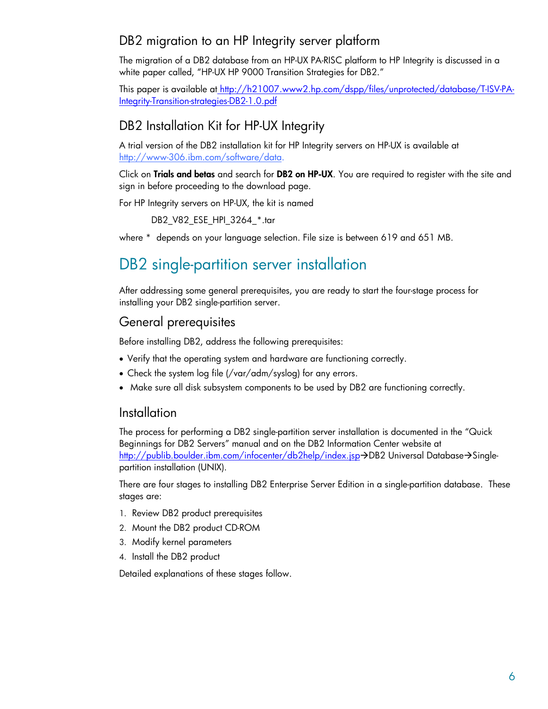# <span id="page-5-0"></span>DB2 migration to an HP Integrity server platform

The migration of a DB2 database from an HP-UX PA-RISC platform to HP Integrity is discussed in a white paper called, "HP-UX HP 9000 Transition Strategies for DB2."

This paper is available at [http://h21007.www2.hp.com/dspp/files/unprotected/database/T-ISV-PA-](http://h21007.www2.hp.com/dspp/files/unprotected/database/T-ISV-PA-Integrity-Transition-strategies-DB2-1.0.pdf)[Integrity-Transition-strategies-DB2-1.0.pdf](http://h21007.www2.hp.com/dspp/files/unprotected/database/T-ISV-PA-Integrity-Transition-strategies-DB2-1.0.pdf)

# DB2 Installation Kit for HP-UX Integrity

A trial version of the DB2 installation kit for HP Integrity servers on HP-UX is available at [http://www-306.ibm.com/software/data.](http://www-306.ibm.com/software/data)

Click on **[Trials and betas](http://www14.software.ibm.com/webapp/download/brand.jsp?b=DB2%20Information%20Management)** and search for **DB2 on HP-UX**. You are required to register with the site and sign in before proceeding to the download page.

For HP Integrity servers on HP-UX, the kit is named

DB2\_V82\_ESE\_HPI\_3264\_\*.tar

where \* depends on your language selection. File size is between 619 and 651 MB.

# DB2 single-partition server installation

After addressing some general prerequisites, you are ready to start the four-stage process for installing your DB2 single-partition server.

# General prerequisites

Before installing DB2, address the following prerequisites:

- Verify that the operating system and hardware are functioning correctly.
- Check the system log file (/var/adm/syslog) for any errors.
- Make sure all disk subsystem components to be used by DB2 are functioning correctly.

# Installation

The process for performing a DB2 single-partition server installation is documented in the "Quick Beginnings for DB2 Servers" manual and on the DB2 Information Center website at <http://publib.boulder.ibm.com/infocenter/db2help/index.jsp>->DB2 Universal Database->Singlepartition installation (UNIX).

There are four stages to installing DB2 Enterprise Server Edition in a single-partition database. These stages are:

- 1. Review DB2 product prerequisites
- 2. Mount the DB2 product CD-ROM
- 3. Modify kernel parameters
- 4. Install the DB2 product

Detailed explanations of these stages follow.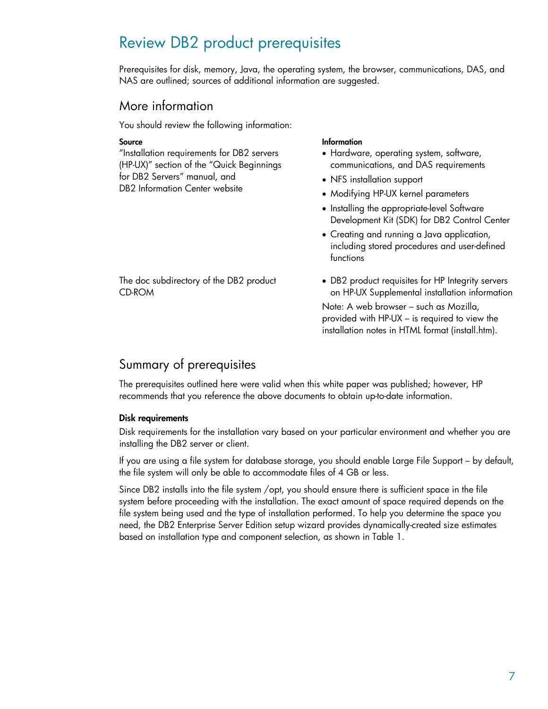# <span id="page-6-0"></span>Review DB2 product prerequisites

Prerequisites for disk, memory, Java, the operating system, the browser, communications, DAS, and NAS are outlined; sources of additional information are suggested.

### More information

You should review the following information:

"Installation requirements for DB2 servers (HP-UX)" section of the "Quick Beginnings for DB2 Servers" manual, and DB2 Information Center website

#### **Source Information**

- Hardware, operating system, software, communications, and DAS requirements
- NFS installation support
- Modifying HP-UX kernel parameters
- Installing the appropriate-level Software Development Kit (SDK) for DB2 Control Center
- Creating and running a Java application, including stored procedures and user-defined functions

The doc subdirectory of the DB2 product CD-ROM

• DB2 product requisites for HP Integrity servers on HP-UX Supplemental installation information

Note: A web browser – such as Mozilla, provided with HP-UX – is required to view the installation notes in HTML format (install.htm).

# Summary of prerequisites

The prerequisites outlined here were valid when this white paper was published; however, HP recommends that you reference the above documents to obtain up-to-date information.

#### **Disk requirements**

Disk requirements for the installation vary based on your particular environment and whether you are installing the DB2 server or client.

If you are using a file system for database storage, you should enable Large File Support – by default, the file system will only be able to accommodate files of 4 GB or less.

Since DB2 installs into the file system /opt, you should ensure there is sufficient space in the file system before proceeding with the installation. The exact amount of space required depends on the file system being used and the type of installation performed. To help you determine the space you need, the DB2 Enterprise Server Edition setup wizard provides dynamically-created size estimates based on installation type and component selection, as shown in Table 1.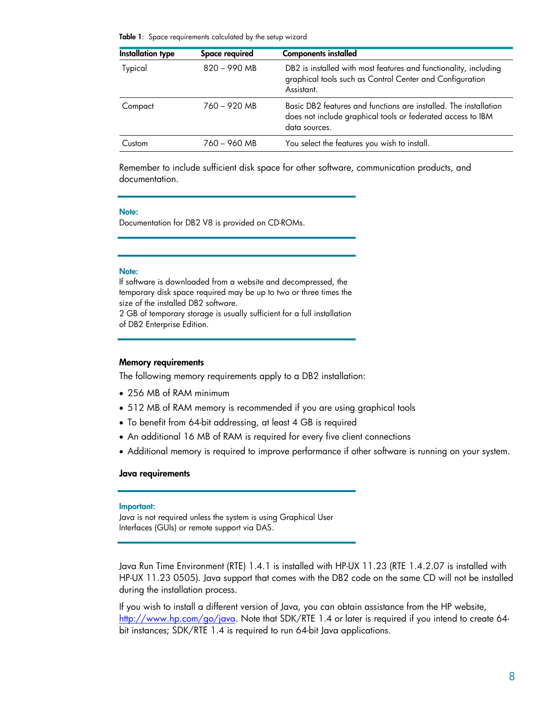<span id="page-7-0"></span>**Table 1**: Space requirements calculated by the setup wizard

| <b>Installation type</b> | Space required | <b>Components installed</b>                                                                                                                      |
|--------------------------|----------------|--------------------------------------------------------------------------------------------------------------------------------------------------|
| Typical                  | $820 - 990$ MB | DB2 is installed with most features and functionality, including<br>graphical tools such as Control Center and Configuration<br>Assistant.       |
| Compact                  | $760 - 920$ MB | Basic DB2 features and functions are installed. The installation<br>does not include graphical tools or federated access to IBM<br>data sources. |
| Custom                   | $760 - 960$ MB | You select the features you wish to install.                                                                                                     |

Remember to include sufficient disk space for other software, communication products, and documentation.

#### **Note:**

Documentation for DB2 V8 is provided on CD-ROMs.

#### **Note:**

If software is downloaded from a website and decompressed, the temporary disk space required may be up to two or three times the size of the installed DB2 software.

2 GB of temporary storage is usually sufficient for a full installation of DB2 Enterprise Edition.

#### **Memory requirements**

The following memory requirements apply to a DB2 installation:

- 256 MB of RAM minimum
- 512 MB of RAM memory is recommended if you are using graphical tools
- To benefit from 64-bit addressing, at least 4 GB is required
- An additional 16 MB of RAM is required for every five client connections
- Additional memory is required to improve performance if other software is running on your system.

#### **Java requirements**

#### **Important:**

Java is not required unless the system is using Graphical User Interfaces (GUIs) or remote support via DAS.

Java Run Time Environment (RTE) 1.4.1 is installed with HP-UX 11.23 (RTE 1.4.2.07 is installed with HP-UX 11.23 0505). Java support that comes with the DB2 code on the same CD will not be installed during the installation process.

If you wish to install a different version of Java, you can obtain assistance from the HP website, <http://www.hp.com/go/java>. Note that SDK/RTE 1.4 or later is required if you intend to create 64 bit instances; SDK/RTE 1.4 is required to run 64-bit Java applications.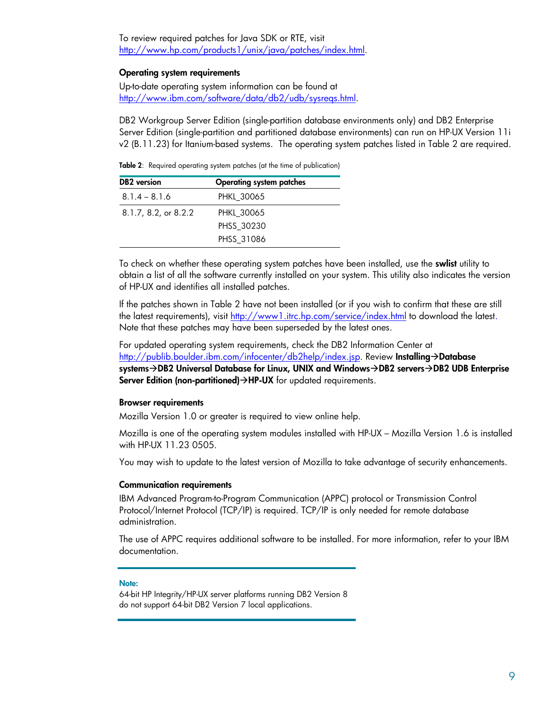<span id="page-8-0"></span>To review required patches for Java SDK or RTE, visit [http://www.hp.com/products1/unix/java/patches/index.html.](http://www.hp.com/products1/unix/java/patches/index.html)

#### **Operating system requirements**

Up-to-date operating system information can be found at [http://www.ibm.com/software/data/db2/udb/sysreqs.html.](http://www.ibm.com/software/data/db2/udb/sysreqs.html)

DB2 Workgroup Server Edition (single-partition database environments only) and DB2 Enterprise Server Edition (single-partition and partitioned database environments) can run on HP-UX Version 11i v2 (B.11.23) for Itanium-based systems. The operating system patches listed in Table 2 are required.

**Table 2**: Required operating system patches (at the time of publication)

| <b>DB2</b> version   | <b>Operating system patches</b> |
|----------------------|---------------------------------|
| $8.1.4 - 8.1.6$      | <b>PHKL 30065</b>               |
| 8.1.7, 8.2, or 8.2.2 | <b>PHKL 30065</b>               |
|                      | PHSS 30230                      |
|                      | PHSS 31086                      |

To check on whether these operating system patches have been installed, use the **swlist** utility to obtain a list of all the software currently installed on your system. This utility also indicates the version of HP-UX and identifies all installed patches.

If the patches shown in Table 2 have not been installed (or if you wish to confirm that these are still the latest requirements), visit <http://www1.itrc.hp.com/service/index.html> to download the latest. Note that these patches may have been superseded by the latest ones.

For updated operating system requirements, check the DB2 Information Center at <http://publib.boulder.ibm.com/infocenter/db2help/index.jsp>. Review **Installing->Database** systems→DB2 Universal Database for Linux, UNIX and Windows→DB2 servers→DB2 UDB Enterprise **Server Edition (non-partitioned)→HP-UX** for updated requirements.

#### **Browser requirements**

Mozilla Version 1.0 or greater is required to view online help.

Mozilla is one of the operating system modules installed with HP-UX – Mozilla Version 1.6 is installed with HP-UX 11.23 0505.

You may wish to update to the latest version of Mozilla to take advantage of security enhancements.

#### **Communication requirements**

IBM Advanced Program-to-Program Communication (APPC) protocol or Transmission Control Protocol/Internet Protocol (TCP/IP) is required. TCP/IP is only needed for remote database administration.

The use of APPC requires additional software to be installed. For more information, refer to your IBM documentation.

#### **Note:**

64-bit HP Integrity/HP-UX server platforms running DB2 Version 8 do not support 64-bit DB2 Version 7 local applications.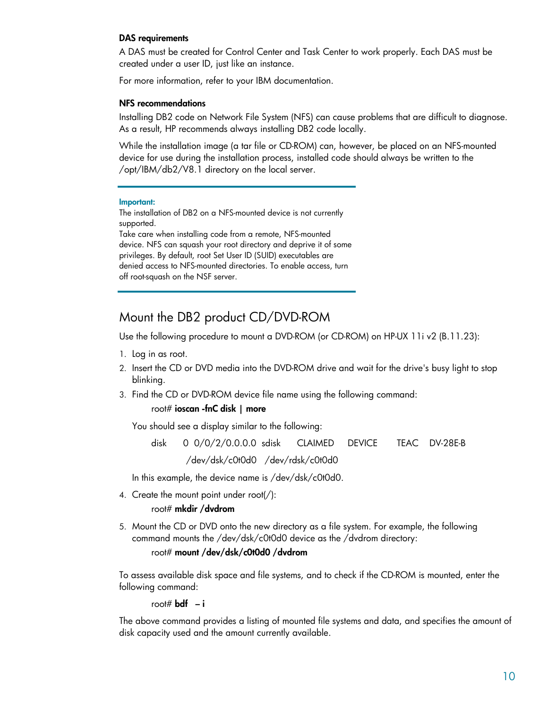#### <span id="page-9-0"></span>**DAS requirements**

A DAS must be created for Control Center and Task Center to work properly. Each DAS must be created under a user ID, just like an instance.

For more information, refer to your IBM documentation.

#### **NFS recommendations**

Installing DB2 code on Network File System (NFS) can cause problems that are difficult to diagnose. As a result, HP recommends always installing DB2 code locally.

While the installation image (a tar file or CD-ROM) can, however, be placed on an NFS-mounted device for use during the installation process, installed code should always be written to the /opt/IBM/db2/V8.1 directory on the local server.

#### **Important:**

The installation of DB2 on a NFS-mounted device is not currently supported.

Take care when installing code from a remote, NFS-mounted device. NFS can squash your root directory and deprive it of some privileges. By default, root Set User ID (SUID) executables are denied access to NFS-mounted directories. To enable access, turn off root-squash on the NSF server.

# Mount the DB2 product CD/DVD-ROM

Use the following procedure to mount a DVD-ROM (or CD-ROM) on HP-UX 11i v2 (B.11.23):

- 1. Log in as root.
- 2. Insert the CD or DVD media into the DVD-ROM drive and wait for the drive's busy light to stop blinking.
- 3. Find the CD or DVD-ROM device file name using the following command:

#### root# **ioscan -fnC disk | more**

You should see a display similar to the following:

 disk 0 0/0/2/0.0.0.0 sdisk CLAIMED DEVICE TEAC DV-28E-B /dev/dsk/c0t0d0 /dev/rdsk/c0t0d0

In this example, the device name is /dev/dsk/c0t0d0.

4. Create the mount point under root(/):

#### root# **mkdir /dvdrom**

5. Mount the CD or DVD onto the new directory as a file system. For example, the following command mounts the /dev/dsk/c0t0d0 device as the /dvdrom directory:

#### root# **mount /dev/dsk/c0t0d0 /dvdrom**

To assess available disk space and file systems, and to check if the CD-ROM is mounted, enter the following command:

root#  $\mathbf{b}$ **df**  $-\mathbf{i}$ 

The above command provides a listing of mounted file systems and data, and specifies the amount of disk capacity used and the amount currently available.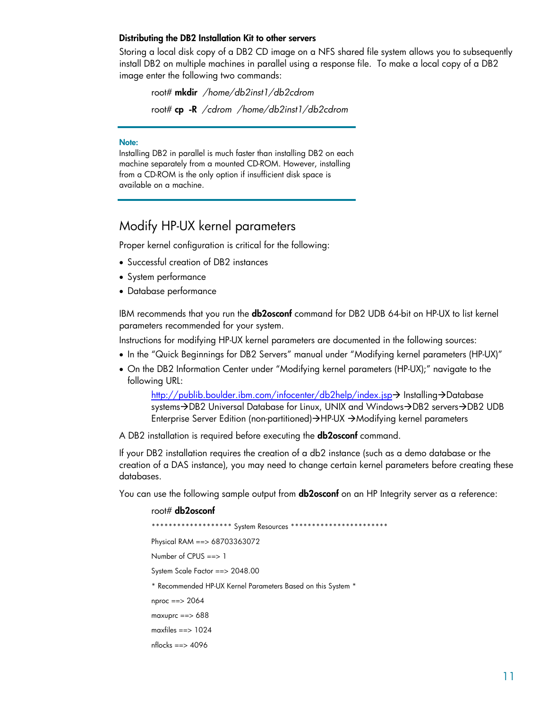#### <span id="page-10-0"></span>**Distributing the DB2 Installation Kit to other servers**

Storing a local disk copy of a DB2 CD image on a NFS shared file system allows you to subsequently install DB2 on multiple machines in parallel using a response file. To make a local copy of a DB2 image enter the following two commands:

 root# **mkdir** */home/db2inst1/db2cdrom* root# **cp -R** */cdrom /home/db2inst1/db2cdrom* 

#### **Note:**

Installing DB2 in parallel is much faster than installing DB2 on each machine separately from a mounted CD-ROM. However, installing from a CD-ROM is the only option if insufficient disk space is available on a machine.

# Modify HP-UX kernel parameters

Proper kernel configuration is critical for the following:

- Successful creation of DB2 instances
- System performance
- Database performance

IBM recommends that you run the **db2osconf** command for DB2 UDB 64-bit on HP-UX to list kernel parameters recommended for your system.

Instructions for modifying HP-UX kernel parameters are documented in the following sources:

- In the "Quick Beginnings for DB2 Servers" manual under "Modifying kernel parameters (HP-UX)"
- On the DB2 Information Center under "Modifying kernel parameters (HP-UX);" navigate to the following URL:

<http://publib.boulder.ibm.com/infocenter/db2help/index.jsp>-> Installing->Database systems->DB2 Universal Database for Linux, UNIX and Windows->DB2 servers->DB2 UDB Enterprise Server Edition (non-partitioned)→HP-UX →Modifying kernel parameters

A DB2 installation is required before executing the **db2osconf** command.

If your DB2 installation requires the creation of a db2 instance (such as a demo database or the creation of a DAS instance), you may need to change certain kernel parameters before creating these databases.

You can use the following sample output from **db2osconf** on an HP Integrity server as a reference:

 root# **db2osconf** \*\*\*\*\*\*\*\*\*\*\*\*\*\*\*\*\*\*\* System Resources \*\*\*\*\*\*\*\*\*\*\*\*\*\*\*\*\*\*\*\*\*\*\* Physical RAM ==> 68703363072 Number of CPUS ==> 1 System Scale Factor ==> 2048.00 \* Recommended HP-UX Kernel Parameters Based on this System \* nproc ==> 2064 maxuprc ==> 688 maxfiles ==> 1024 nflocks ==> 4096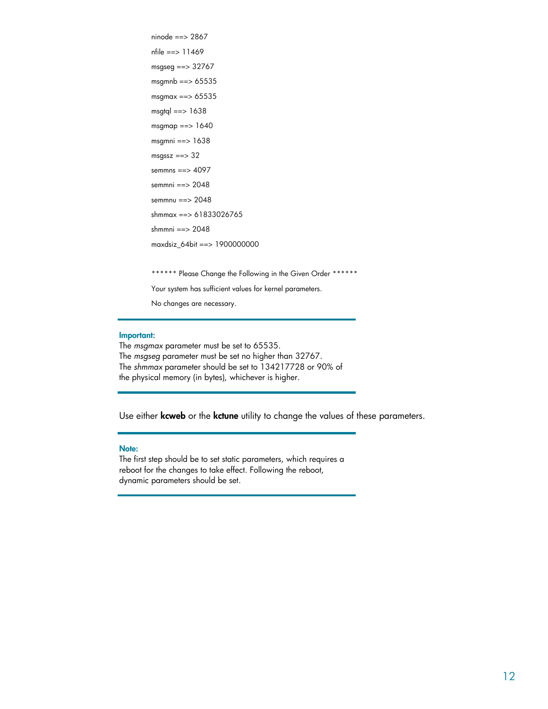```
 ninode ==> 2867 
 nfile ==> 11469 
 msgseg ==> 32767 
 msgmnb ==> 65535 
 msgmax ==> 65535 
msgtql == 1638
msgmap == 1640
 msgmni ==> 1638 
msgssz == > 32 semmns ==> 4097 
 semmni ==> 2048 
 semmnu ==> 2048 
 shmmax ==> 61833026765 
 shmmni ==> 2048 
 maxdsiz_64bit ==> 1900000000 
 ****** Please Change the Following in the Given Order ****** 
 Your system has sufficient values for kernel parameters. 
 No changes are necessary.
```
#### **Important:**

The *msgmax* parameter must be set to 65535. The *msgseg* parameter must be set no higher than 32767. The *shmmax* parameter should be set to 134217728 or 90% of the physical memory (in bytes), whichever is higher.

Use either **kcweb** or the **kctune** utility to change the values of these parameters.

#### **Note:**

The first step should be to set static parameters, which requires a reboot for the changes to take effect. Following the reboot, dynamic parameters should be set.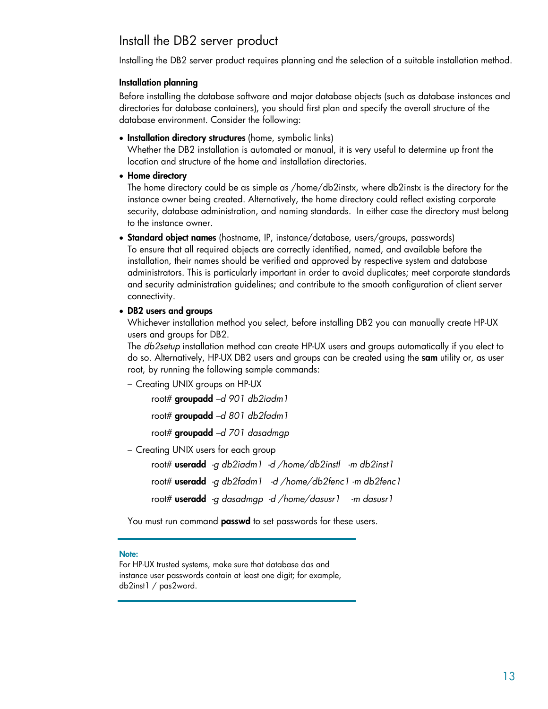# <span id="page-12-0"></span>Install the DB2 server product

Installing the DB2 server product requires planning and the selection of a suitable installation method.

#### **Installation planning**

Before installing the database software and major database objects (such as database instances and directories for database containers), you should first plan and specify the overall structure of the database environment. Consider the following:

• **Installation directory structures** (home, symbolic links)

Whether the DB2 installation is automated or manual, it is very useful to determine up front the location and structure of the home and installation directories.

• **Home directory**

The home directory could be as simple as /home/db2instx, where db2instx is the directory for the instance owner being created. Alternatively, the home directory could reflect existing corporate security, database administration, and naming standards. In either case the directory must belong to the instance owner.

• **Standard object names** (hostname, IP, instance/database, users/groups, passwords)

To ensure that all required objects are correctly identified, named, and available before the installation, their names should be verified and approved by respective system and database administrators. This is particularly important in order to avoid duplicates; meet corporate standards and security administration guidelines; and contribute to the smooth configuration of client server connectivity.

• **DB2 users and groups**

Whichever installation method you select, before installing DB2 you can manually create HP-UX users and groups for DB2.

The *db2setup* installation method can create HP-UX users and groups automatically if you elect to do so. Alternatively, HP-UX DB2 users and groups can be created using the **sam** utility or, as user root, by running the following sample commands:

– Creating UNIX groups on HP-UX

root# **groupadd** *–d 901 db2iadm1* 

root# **groupadd** *–d 801 db2fadm1*

root# **groupadd** *–d 701 dasadmgp* 

– Creating UNIX users for each group

 root# **useradd** *-g db2iadm1 -d /home/db2instl -m db2inst1* root# **useradd** *-g db2fadm1 -d /home/db2fenc1 -m db2fenc1* root# **useradd** *-g dasadmgp -d /home/dasusr1 -m dasusr1* 

You must run command **passwd** to set passwords for these users.

#### **Note:**

For HP-UX trusted systems, make sure that database das and instance user passwords contain at least one digit; for example, db2inst1 / pas2word.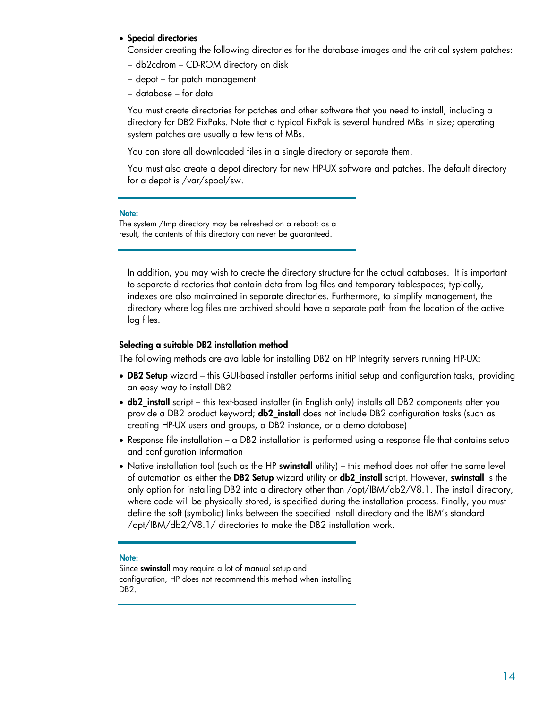#### <span id="page-13-0"></span>• **Special directories**

Consider creating the following directories for the database images and the critical system patches:

- db2cdrom CD-ROM directory on disk
- depot for patch management
- database for data

You must create directories for patches and other software that you need to install, including a directory for DB2 FixPaks. Note that a typical FixPak is several hundred MBs in size; operating system patches are usually a few tens of MBs.

You can store all downloaded files in a single directory or separate them.

You must also create a depot directory for new HP-UX software and patches. The default directory for a depot is /var/spool/sw.

#### **Note:**

The system /tmp directory may be refreshed on a reboot; as a result, the contents of this directory can never be guaranteed.

In addition, you may wish to create the directory structure for the actual databases. It is important to separate directories that contain data from log files and temporary tablespaces; typically, indexes are also maintained in separate directories. Furthermore, to simplify management, the directory where log files are archived should have a separate path from the location of the active log files.

#### **Selecting a suitable DB2 installation method**

The following methods are available for installing DB2 on HP Integrity servers running HP-UX:

- **DB2 Setup** wizard this GUI-based installer performs initial setup and configuration tasks, providing an easy way to install DB2
- **db2\_install** script this text-based installer (in English only) installs all DB2 components after you provide a DB2 product keyword; **db2\_install** does not include DB2 configuration tasks (such as creating HP-UX users and groups, a DB2 instance, or a demo database)
- Response file installation a DB2 installation is performed using a response file that contains setup and configuration information
- Native installation tool (such as the HP **swinstall** utility) this method does not offer the same level of automation as either the **DB2 Setup** wizard utility or **db2\_install** script. However, **swinstall** is the only option for installing DB2 into a directory other than /opt/IBM/db2/V8.1. The install directory, where code will be physically stored, is specified during the installation process. Finally, you must define the soft (symbolic) links between the specified install directory and the IBM's standard /opt/IBM/db2/V8.1/ directories to make the DB2 installation work.

#### **Note:**

Since **swinstall** may require a lot of manual setup and configuration, HP does not recommend this method when installing DB2.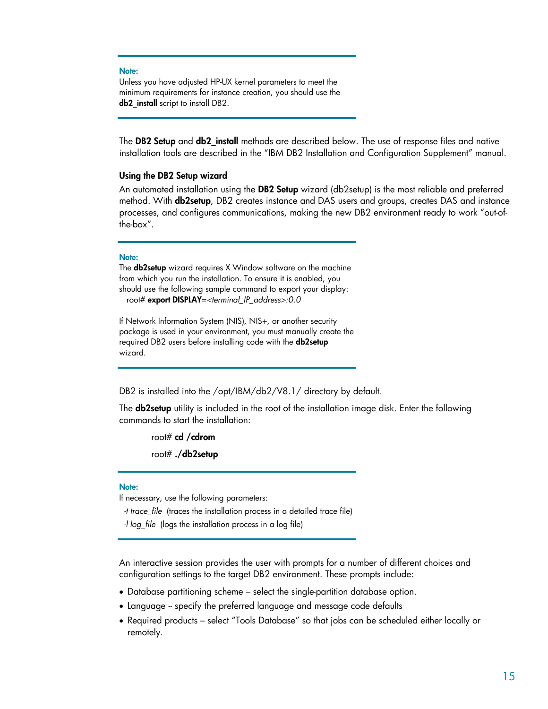#### <span id="page-14-0"></span>**Note:**

Unless you have adjusted HP-UX kernel parameters to meet the minimum requirements for instance creation, you should use the **db2\_install** script to install DB2.

The **DB2 Setup** and **db2\_install** methods are described below. The use of response files and native installation tools are described in the "IBM DB2 Installation and Configuration Supplement" manual.

#### **Using the DB2 Setup wizard**

An automated installation using the **DB2 Setup** wizard (db2setup) is the most reliable and preferred method. With **db2setup**, DB2 creates instance and DAS users and groups, creates DAS and instance processes, and configures communications, making the new DB2 environment ready to work "out-ofthe-box".

#### **Note:**

The **db2setup** wizard requires X Window software on the machine from which you run the installation. To ensure it is enabled, you should use the following sample command to export your display: root# **export DISPLAY**=*<terminal\_IP\_address>:0.0* 

If Network Information System (NIS), NIS+, or another security package is used in your environment, you must manually create the required DB2 users before installing code with the **db2setup** wizard.

DB2 is installed into the /opt/IBM/db2/V8.1/ directory by default.

The **db2setup** utility is included in the root of the installation image disk. Enter the following commands to start the installation:

root# **cd /cdrom**

root# **./db2setup** 

#### **Note:**

If necessary, use the following parameters:

*-t trace\_file* (traces the installation process in a detailed trace file)

*-l log\_file* (logs the installation process in a log file)

An interactive session provides the user with prompts for a number of different choices and configuration settings to the target DB2 environment. These prompts include:

- Database partitioning scheme select the single-partition database option.
- Language -- specify the preferred language and message code defaults
- Required products select "Tools Database" so that jobs can be scheduled either locally or remotely.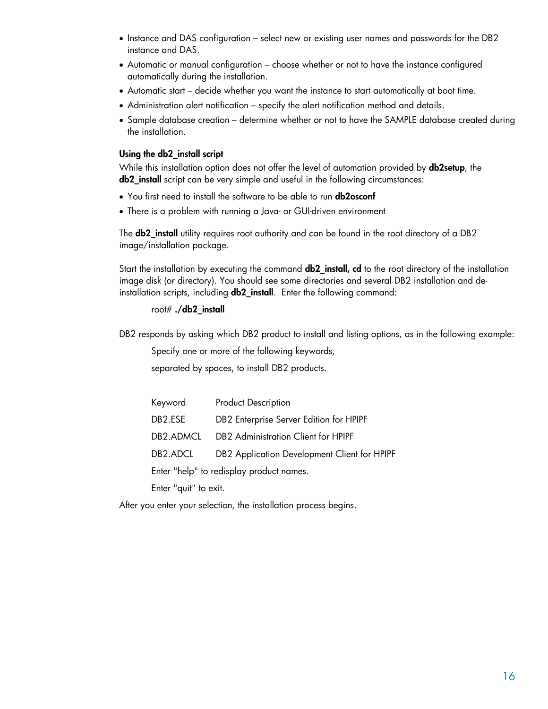- <span id="page-15-0"></span>• Instance and DAS configuration – select new or existing user names and passwords for the DB2 instance and DAS.
- Automatic or manual configuration choose whether or not to have the instance configured automatically during the installation.
- Automatic start decide whether you want the instance to start automatically at boot time.
- Administration alert notification specify the alert notification method and details.
- Sample database creation determine whether or not to have the SAMPLE database created during the installation.

#### **Using the db2\_install script**

While this installation option does not offer the level of automation provided by **db2setup**, the **db2\_install** script can be very simple and useful in the following circumstances:

- You first need to install the software to be able to run **db2osconf**
- There is a problem with running a Java- or GUI-driven environment

The **db2\_install** utility requires root authority and can be found in the root directory of a DB2 image/installation package.

Start the installation by executing the command **db2\_install, cd** to the root directory of the installation image disk (or directory). You should see some directories and several DB2 installation and deinstallation scripts, including **db2\_install**. Enter the following command:

#### root# **./db2\_install**

DB2 responds by asking which DB2 product to install and listing options, as in the following example:

Specify one or more of the following keywords,

separated by spaces, to install DB2 products.

| Keyword                | <b>Product Description</b>                      |
|------------------------|-------------------------------------------------|
| DB2.ESE                | DB2 Enterprise Server Edition for HPIPF         |
| DB <sub>2</sub> .ADMCL | DB <sub>2</sub> Administration Client for HPIPF |
| DB2.ADCL               | DB2 Application Development Client for HPIPF    |
|                        | Enter "help" to redisplay product names.        |
| — . II .II .           |                                                 |

Enter "quit" to exit.

After you enter your selection, the installation process begins.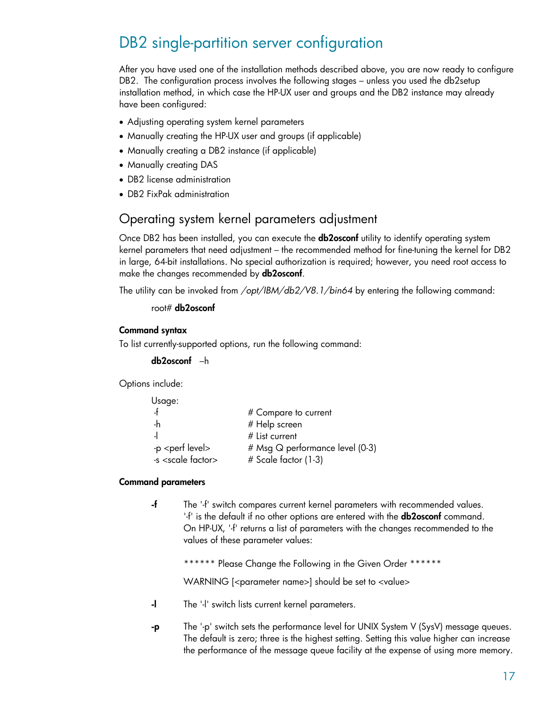# <span id="page-16-0"></span>DB2 single-partition server configuration

After you have used one of the installation methods described above, you are now ready to configure DB2. The configuration process involves the following stages – unless you used the db2setup installation method, in which case the HP-UX user and groups and the DB2 instance may already have been configured:

- Adjusting operating system kernel parameters
- Manually creating the HP-UX user and groups (if applicable)
- Manually creating a DB2 instance (if applicable)
- Manually creating DAS
- DB2 license administration
- DB2 FixPak administration

# Operating system kernel parameters adjustment

Once DB2 has been installed, you can execute the **db2osconf** utility to identify operating system kernel parameters that need adjustment – the recommended method for fine-tuning the kernel for DB2 in large, 64-bit installations. No special authorization is required; however, you need root access to make the changes recommended by **db2osconf**.

The utility can be invoked from */opt/IBM/db2/V8.1/bin64* by entering the following command:

#### root# **db2osconf**

#### **Command syntax**

To list currently-supported options, run the following command:

```
 db2osconf –h
```
Options include:

| Usage:                       |                                 |
|------------------------------|---------------------------------|
|                              | # Compare to current            |
| -h                           | # Help screen                   |
|                              | # List current                  |
| -p <perf level=""></perf>    | # Msg Q performance level (0-3) |
| -s <scale factor=""></scale> | # Scale factor (1-3)            |

#### **Command parameters**

**-f** The '-f' switch compares current kernel parameters with recommended values. '-f' is the default if no other options are entered with the **db2osconf** command. On HP-UX, '-f' returns a list of parameters with the changes recommended to the values of these parameter values:

\*\*\*\*\*\* Please Change the Following in the Given Order \*\*\*\*\*\*

WARNING [<parameter name>] should be set to <value>

- **-l** The '-l' switch lists current kernel parameters.
- **-p** The '-p' switch sets the performance level for UNIX System V (SysV) message queues. The default is zero; three is the highest setting. Setting this value higher can increase the performance of the message queue facility at the expense of using more memory.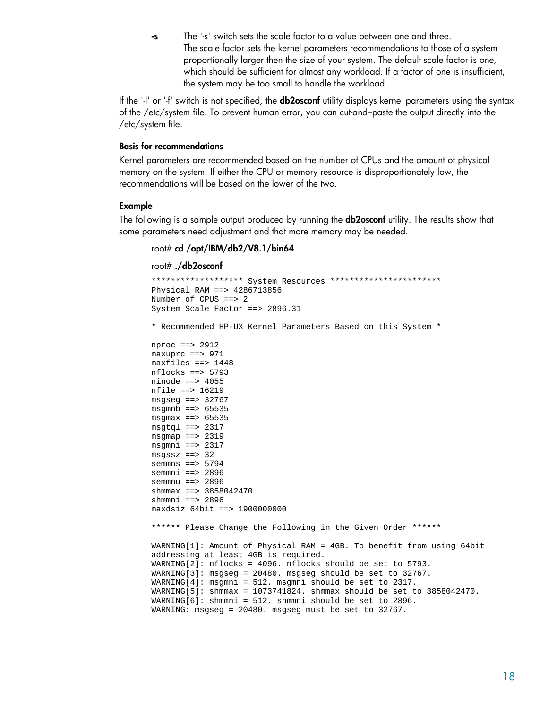**-s** The '-s' switch sets the scale factor to a value between one and three. The scale factor sets the kernel parameters recommendations to those of a system proportionally larger then the size of your system. The default scale factor is one, which should be sufficient for almost any workload. If a factor of one is insufficient, the system may be too small to handle the workload.

<span id="page-17-0"></span>If the '-l' or '-f' switch is not specified, the **db2osconf** utility displays kernel parameters using the syntax of the /etc/system file. To prevent human error, you can cut-and–paste the output directly into the /etc/system file.

#### **Basis for recommendations**

Kernel parameters are recommended based on the number of CPUs and the amount of physical memory on the system. If either the CPU or memory resource is disproportionately low, the recommendations will be based on the lower of the two.

#### **Example**

The following is a sample output produced by running the **db2osconf** utility. The results show that some parameters need adjustment and that more memory may be needed.

#### root# **cd /opt/IBM/db2/V8.1/bin64**

root# **./db2osconf**

```
******************* System Resources *********************** 
Physical RAM ==> 4286713856 
Number of CPUS ==> 2 
System Scale Factor ==> 2896.31 
* Recommended HP-UX Kernel Parameters Based on this System * 
nproc ==> 2912 
maxuprc == 971
maxfiles ==> 1448 
nflocks ==> 5793 
ninode == 4055
nfile ==> 16219 
msgseg ==> 32767
msqmnb ==> 65535msgmax == 65535
msgtq1 ==> 2317msgmap ==> 2319
msgmni ==> 2317 
msgssz ==> 32 
semmns ==> 5794 
semmni ==> 2896 
semmnu ==> 2896 
shmmax ==> 3858042470 
shmmni ==> 2896 
maxdsiz_64bit ==> 1900000000 
****** Please Change the Following in the Given Order ******
WARNING[1]: Amount of Physical RAM = 4GB. To benefit from using 64bit 
addressing at least 4GB is required. 
WARNING[2]: nflocks = 4096. nflocks should be set to 5793. 
WARNING[3]: msgseg = 20480. msgseg should be set to 32767. 
WARNING[4]: msgmni = 512. msgmni should be set to 2317. 
WARNING[5]: shmmax = 1073741824. shmmax should be set to 3858042470. 
WARNING[6]: shmmni = 512. shmmni should be set to 2896. 
WARNING: msgseg = 20480. msgseg must be set to 32767.
```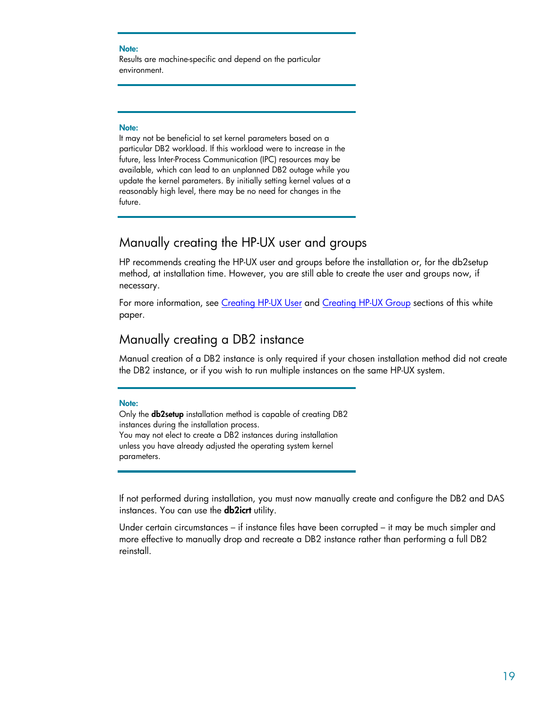#### <span id="page-18-0"></span>**Note:**

Results are machine-specific and depend on the particular environment.

#### **Note:**

It may not be beneficial to set kernel parameters based on a particular DB2 workload. If this workload were to increase in the future, less Inter-Process Communication (IPC) resources may be available, which can lead to an unplanned DB2 outage while you update the kernel parameters. By initially setting kernel values at a reasonably high level, there may be no need for changes in the future.

# Manually creating the HP-UX user and groups

HP recommends creating the HP-UX user and groups before the installation or, for the db2setup method, at installation time. However, you are still able to create the user and groups now, if necessary.

For more information, see [Creating HP-UX User](#page-12-0) and [Creating HP-UX Group](#page-12-0) sections of this white paper.

# Manually creating a DB2 instance

Manual creation of a DB2 instance is only required if your chosen installation method did not create the DB2 instance, or if you wish to run multiple instances on the same HP-UX system.

#### **Note:**

Only the **db2setup** installation method is capable of creating DB2 instances during the installation process. You may not elect to create a DB2 instances during installation unless you have already adjusted the operating system kernel parameters.

If not performed during installation, you must now manually create and configure the DB2 and DAS instances. You can use the **db2icrt** utility.

Under certain circumstances – if instance files have been corrupted – it may be much simpler and more effective to manually drop and recreate a DB2 instance rather than performing a full DB2 reinstall.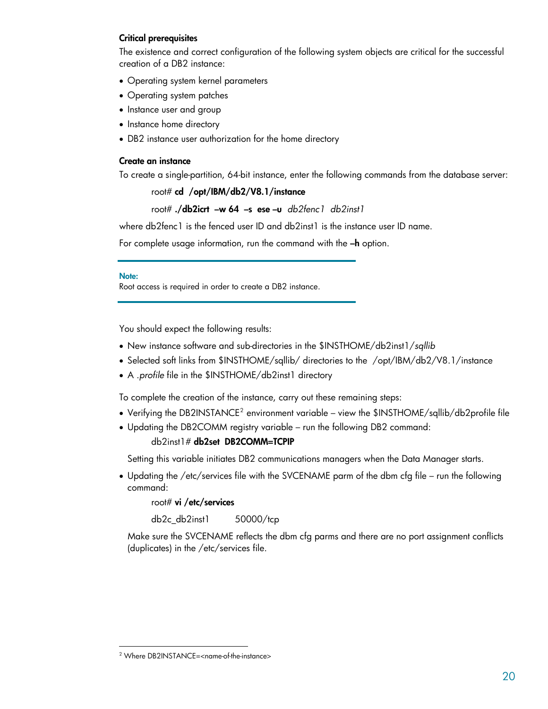#### <span id="page-19-0"></span>**Critical prerequisites**

The existence and correct configuration of the following system objects are critical for the successful creation of a DB2 instance:

- Operating system kernel parameters
- Operating system patches
- Instance user and group
- Instance home directory
- DB2 instance user authorization for the home directory

#### **Create an instance**

To create a single-partition, 64-bit instance, enter the following commands from the database server:

root# **cd /opt/IBM/db2/V8.1/instance**

root# **./db2icrt –w 64 –s ese –u** *db2fenc1 db2inst1*

where db2fenc1 is the fenced user ID and db2inst1 is the instance user ID name.

For complete usage information, run the command with the **–h** option.

#### **Note:**

Root access is required in order to create a DB2 instance.

You should expect the following results:

- New instance software and sub-directories in the \$INSTHOME/db2inst1/*sqllib*
- Selected soft links from \$INSTHOME/sqllib/ directories to the /opt/IBM/db2/V8.1/instance
- A .*profile* file in the \$INSTHOME/db2inst1 directory

To complete the creation of the instance, carry out these remaining steps:

- Verifying the DB[2](#page-19-1)INSTANCE<sup>2</sup> environment variable view the \$INSTHOME/sqllib/db2profile file
- Updating the DB2COMM registry variable run the following DB2 command:

#### db2inst1# **db2set DB2COMM=TCPIP**

Setting this variable initiates DB2 communications managers when the Data Manager starts.

• Updating the /etc/services file with the SVCENAME parm of the dbm cfg file – run the following command:

root# **vi /etc/services** 

db2c\_db2inst1 50000/tcp

Make sure the SVCENAME reflects the dbm cfg parms and there are no port assignment conflicts (duplicates) in the /etc/services file.

-

<span id="page-19-1"></span><sup>2</sup> Where DB2INSTANCE=<name-of-the-instance>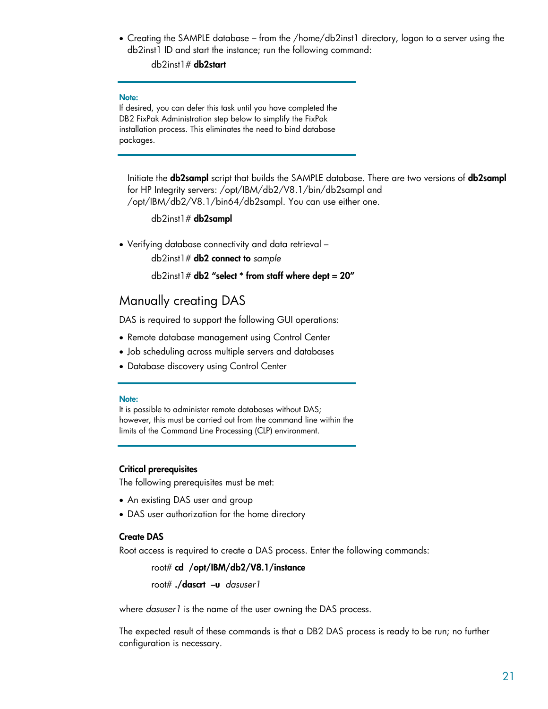<span id="page-20-0"></span>• Creating the SAMPLE database – from the /home/db2inst1 directory, logon to a server using the db2inst1 ID and start the instance; run the following command:

db2inst1# **db2start**

#### **Note:**

If desired, you can defer this task until you have completed the DB2 FixPak Administration step below to simplify the FixPak installation process. This eliminates the need to bind database packages.

Initiate the **db2sampl** script that builds the SAMPLE database. There are two versions of **db2sampl** for HP Integrity servers: /opt/IBM/db2/V8.1/bin/db2sampl and /opt/IBM/db2/V8.1/bin64/db2sampl. You can use either one.

db2inst1# **db2sampl**

• Verifying database connectivity and data retrieval –

db2inst1# **db2 connect to** *sample*

db2inst1# **db2 "select \* from staff where dept = 20"** 

### Manually creating DAS

DAS is required to support the following GUI operations:

- Remote database management using Control Center
- Job scheduling across multiple servers and databases
- Database discovery using Control Center

#### **Note:**

It is possible to administer remote databases without DAS; however, this must be carried out from the command line within the limits of the Command Line Processing (CLP) environment.

#### **Critical prerequisites**

The following prerequisites must be met:

- An existing DAS user and group
- DAS user authorization for the home directory

#### **Create DAS**

Root access is required to create a DAS process. Enter the following commands:

root# **cd /opt/IBM/db2/V8.1/instance**

root# **./dascrt –u** *dasuser1*

where *dasuser1* is the name of the user owning the DAS process.

The expected result of these commands is that a DB2 DAS process is ready to be run; no further configuration is necessary.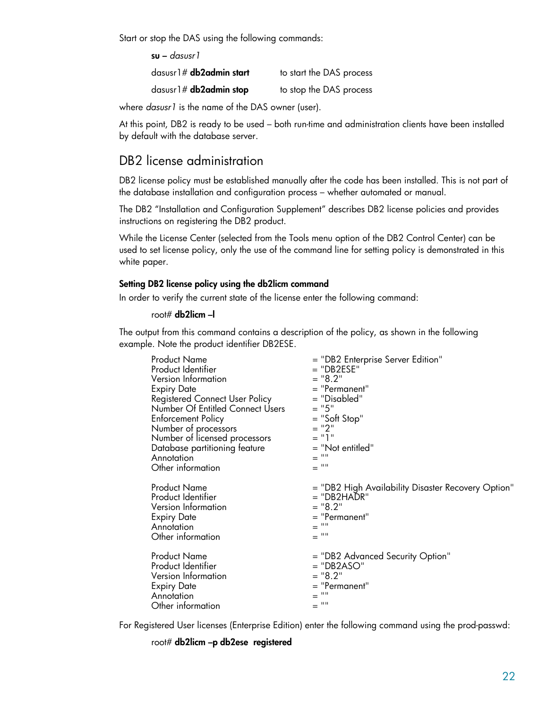<span id="page-21-0"></span>Start or stop the DAS using the following commands:

**su –** *dasusr1*

dasusr1# **db2admin start** to start the DAS process

dasusr1# **db2admin stop** to stop the DAS process

where *dasusr1* is the name of the DAS owner (user).

At this point, DB2 is ready to be used – both run-time and administration clients have been installed by default with the database server.

# DB2 license administration

DB2 license policy must be established manually after the code has been installed. This is not part of the database installation and configuration process – whether automated or manual.

The DB2 "Installation and Configuration Supplement" describes DB2 license policies and provides instructions on registering the DB2 product.

While the License Center (selected from the Tools menu option of the DB2 Control Center) can be used to set license policy, only the use of the command line for setting policy is demonstrated in this white paper.

#### **Setting DB2 license policy using the db2licm command**

In order to verify the current state of the license enter the following command:

#### root# **db2licm –l**

The output from this command contains a description of the policy, as shown in the following example. Note the product identifier DB2ESE.

| <b>Product Name</b>              | = "DB2 Enterprise Server Edition"                  |
|----------------------------------|----------------------------------------------------|
| Product Identifier               | $=$ "DB2ESE"                                       |
| Version Information              | $=$ "8.2"                                          |
| <b>Expiry Date</b>               | $=$ "Permanent"                                    |
| Registered Connect User Policy   | = "Disabled"                                       |
| Number Of Entitled Connect Users | $= "5"$                                            |
| <b>Enforcement Policy</b>        | $=$ "Soft Stop"                                    |
| Number of processors             | $= "2"$                                            |
| Number of licensed processors    | = "1"                                              |
| Database partitioning feature    | = "Not entitled"                                   |
| Annotation                       | $=$ ""                                             |
| Other information                | $=$ ""                                             |
| <b>Product Name</b>              | = "DB2 High Availability Disaster Recovery Option" |
| Product Identifier               | = "DB2HADR"                                        |
| Version Information              | $=$ "8.2"                                          |
| <b>Expiry Date</b>               | $=$ "Permanent"                                    |
| Annotation                       | $\equiv$ $^{00}$                                   |
| Other information                | $\equiv$ $^{0.0}$                                  |
| <b>Product Name</b>              | = "DB2 Advanced Security Option"                   |
| Product Identifier               | $=$ "DB2ASO"                                       |
| Version Information              | $=$ "8.2"                                          |
| <b>Expiry Date</b>               | $=$ "Permanent"                                    |
| Annotation                       | ш                                                  |
| Other information                | $\equiv$ $^{0.0}$                                  |

For Registered User licenses (Enterprise Edition) enter the following command using the prod-passwd:

root# **db2licm –p db2ese registered**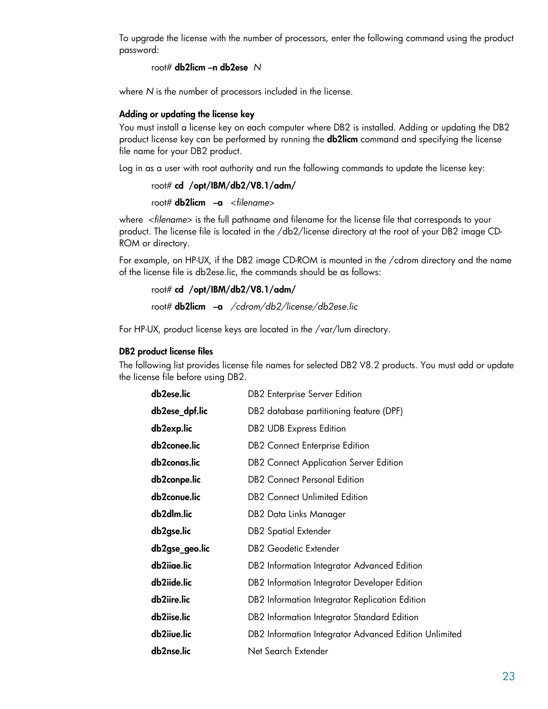<span id="page-22-0"></span>To upgrade the license with the number of processors, enter the following command using the product password:

root# **db2licm –n db2ese** *N*

where *N* is the number of processors included in the license.

#### **Adding or updating the license key**

You must install a license key on each computer where DB2 is installed. Adding or updating the DB2 product license key can be performed by running the **db2licm** command and specifying the license file name for your DB2 product.

Log in as a user with root authority and run the following commands to update the license key:

```
 root# cd /opt/IBM/db2/V8.1/adm/
```
root# **db2licm –a** <*filename*>

where <*filename*> is the full pathname and filename for the license file that corresponds to your product. The license file is located in the /db2/license directory at the root of your DB2 image CD-ROM or directory.

For example, on HP-UX, if the DB2 image CD-ROM is mounted in the /cdrom directory and the name of the license file is db2ese.lic, the commands should be as follows:

```
 root# cd /opt/IBM/db2/V8.1/adm/
 root# db2licm –a /cdrom/db2/license/db2ese.lic
```
For HP-UX, product license keys are located in the /var/lum directory.

#### **DB2 product license files**

The following list provides license file names for selected DB2 V8.2 products. You must add or update the license file before using DB2.

| db2ese.lic     | <b>DB2</b> Enterprise Server Edition                  |
|----------------|-------------------------------------------------------|
| db2ese_dpf.lic | DB2 database partitioning feature (DPF)               |
| db2exp.lic     | <b>DB2 UDB Express Edition</b>                        |
| db2conee.lic   | <b>DB2</b> Connect Enterprise Edition                 |
| db2conas.lic   | <b>DB2</b> Connect Application Server Edition         |
| db2conpe.lic   | <b>DB2</b> Connect Personal Edition                   |
| db2conue.lic   | <b>DB2</b> Connect Unlimited Edition                  |
| db2dlm.lic     | DB2 Data Links Manager                                |
| db2gse.lic     | <b>DB2</b> Spatial Extender                           |
| db2gse_geo.lic | <b>DB2 Geodetic Extender</b>                          |
| db2iiae.lic    | DB2 Information Integrator Advanced Edition           |
| db2iide.lic    | DB2 Information Integrator Developer Edition          |
| db2iire.lic    | DB2 Information Integrator Replication Edition        |
| db2iise.lic    | DB2 Information Integrator Standard Edition           |
| db2iiue.lic    | DB2 Information Integrator Advanced Edition Unlimited |
| db2nse.lic     | Net Search Extender                                   |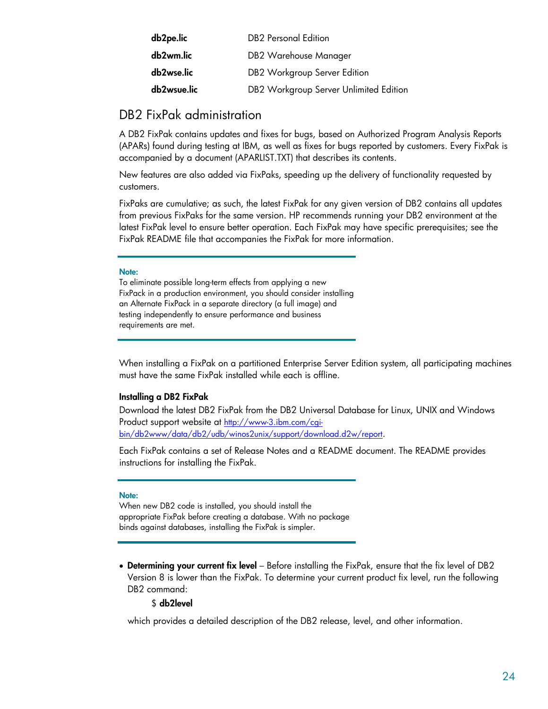<span id="page-23-0"></span>

| db2pe.lic   | <b>DB2</b> Personal Edition            |
|-------------|----------------------------------------|
| db2wm.lic   | DB2 Warehouse Manager                  |
| db2wse.lic  | DB2 Workgroup Server Edition           |
| db2wsue.lic | DB2 Workgroup Server Unlimited Edition |

# DB2 FixPak administration

A DB2 FixPak contains updates and fixes for bugs, based on Authorized Program Analysis Reports (APARs) found during testing at IBM, as well as fixes for bugs reported by customers. Every FixPak is accompanied by a document (APARLIST.TXT) that describes its contents.

New features are also added via FixPaks, speeding up the delivery of functionality requested by customers.

FixPaks are cumulative; as such, the latest FixPak for any given version of DB2 contains all updates from previous FixPaks for the same version. HP recommends running your DB2 environment at the latest FixPak level to ensure better operation. Each FixPak may have specific prerequisites; see the FixPak README file that accompanies the FixPak for more information.

#### **Note:**

To eliminate possible long-term effects from applying a new FixPack in a production environment, you should consider installing an Alternate FixPack in a separate directory (a full image) and testing independently to ensure performance and business requirements are met.

When installing a FixPak on a partitioned Enterprise Server Edition system, all participating machines must have the same FixPak installed while each is offline.

#### **Installing a DB2 FixPak**

Download the latest DB2 FixPak from the DB2 Universal Database for Linux, UNIX and Windows Product support website at [http://www-3.ibm.com/cgi](http://www-3.ibm.com/cgi-bin/db2www/data/db2/udb/winos2unix/support/download.d2w/report)[bin/db2www/data/db2/udb/winos2unix/support/download.d2w/report.](http://www-3.ibm.com/cgi-bin/db2www/data/db2/udb/winos2unix/support/download.d2w/report)

Each FixPak contains a set of Release Notes and a README document. The README provides instructions for installing the FixPak.

#### **Note:**

When new DB2 code is installed, you should install the appropriate FixPak before creating a database. With no package binds against databases, installing the FixPak is simpler.

• **Determining your current fix level** – Before installing the FixPak, ensure that the fix level of DB2 Version 8 is lower than the FixPak. To determine your current product fix level, run the following DB2 command:

#### \$ **db2level**

which provides a detailed description of the DB2 release, level, and other information.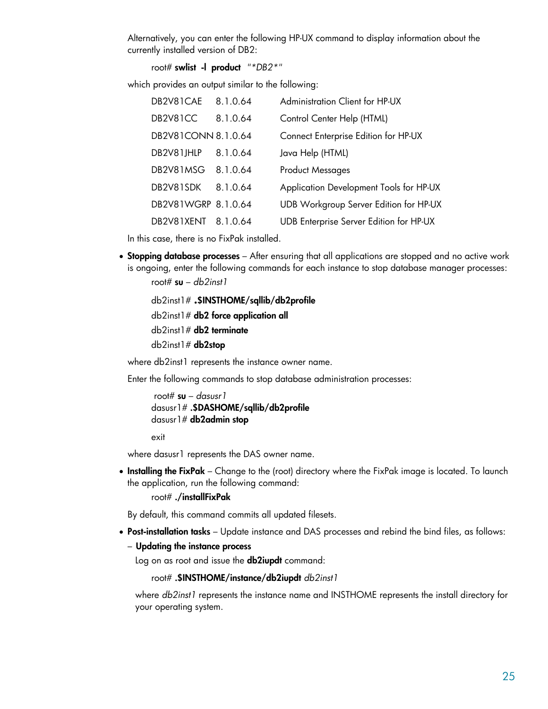Alternatively, you can enter the following HP-UX command to display information about the currently installed version of DB2:

root# **swlist -l product** *"\*DB2\*"*

which provides an output similar to the following:

| DB2V81CAE 8.1.0.64  |          | Administration Client for HP-UX         |
|---------------------|----------|-----------------------------------------|
| DB2V81CC            | 8.1.0.64 | Control Center Help (HTML)              |
| DB2V81CONN 8.1.0.64 |          | Connect Enterprise Edition for HP-UX    |
| DB2V81JHLP          | 8.1.0.64 | Java Help (HTML)                        |
| DB2V81MSG           | 8.1.0.64 | <b>Product Messages</b>                 |
| DB2V81SDK           | 8.1.0.64 | Application Development Tools for HP-UX |
| DB2V81WGRP 8.1.0.64 |          | UDB Workgroup Server Edition for HP-UX  |
| DB2V81XENT          | 8.1.0.64 | UDB Enterprise Server Edition for HP-UX |

In this case, there is no FixPak installed.

• **Stopping database processes** – After ensuring that all applications are stopped and no active work is ongoing, enter the following commands for each instance to stop database manager processes:

root# **su** – *db2inst1*

 db2inst1# **.\$INSTHOME/sqllib/db2profile** db2inst1# **db2 force application all** db2inst1# **db2 terminate** db2inst1# **db2stop**

where db2inst1 represents the instance owner name.

Enter the following commands to stop database administration processes:

```
 root# su – dasusr1 
dasusr1# .$DASHOME/sqllib/db2profile
 dasusr1# db2admin stop
```
exit

where dasusr1 represents the DAS owner name.

• **Installing the FixPak** – Change to the (root) directory where the FixPak image is located. To launch the application, run the following command:

root# **./installFixPak**

By default, this command commits all updated filesets.

• **Post-installation tasks** – Update instance and DAS processes and rebind the bind files, as follows:

– **Updating the instance process** 

Log on as root and issue the **db2iupdt** command:

root# **.\$INSTHOME/instance/db2iupdt** *db2inst1*

where *db2inst1* represents the instance name and INSTHOME represents the install directory for your operating system.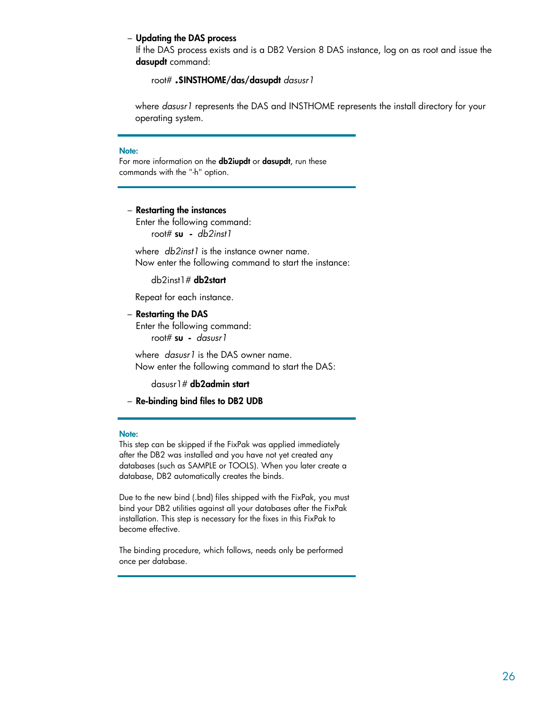#### – **Updating the DAS process**

If the DAS process exists and is a DB2 Version 8 DAS instance, log on as root and issue the **dasupdt** command:

#### root# **.\$INSTHOME/das/dasupdt** *dasusr1*

where *dasusr1* represents the DAS and INSTHOME represents the install directory for your operating system.

#### **Note:**

For more information on the **db2iupdt** or **dasupdt**, run these commands with the "-h" option.

#### – **Restarting the instances**

Enter the following command: root# **su -** *db2inst1* 

where *db2inst1* is the instance owner name. Now enter the following command to start the instance:

db2inst1# **db2start**

Repeat for each instance.

#### – **Restarting the DAS**

Enter the following command: root# **su -** *dasusr1* 

where *dasusr1* is the DAS owner name. Now enter the following command to start the DAS:

dasusr1# **db2admin start**

– **Re-binding bind files to DB2 UDB** 

#### **Note:**

This step can be skipped if the FixPak was applied immediately after the DB2 was installed and you have not yet created any databases (such as SAMPLE or TOOLS). When you later create a database, DB2 automatically creates the binds.

Due to the new bind (.bnd) files shipped with the FixPak, you must bind your DB2 utilities against all your databases after the FixPak installation. This step is necessary for the fixes in this FixPak to become effective.

The binding procedure, which follows, needs only be performed once per database.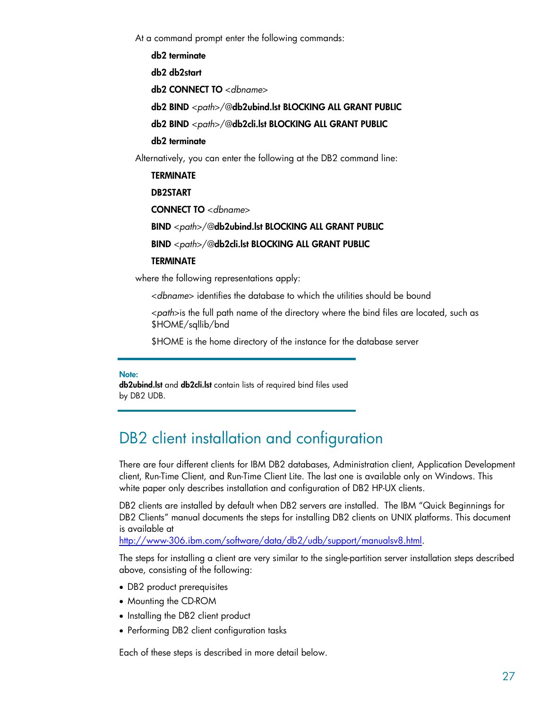<span id="page-26-0"></span>At a command prompt enter the following commands:

 **db2 terminate** 

 **db2 db2start** 

 **db2 CONNECT TO** <*dbname*>

 **db2 BIND** <*path*>/@**db2ubind.lst BLOCKING ALL GRANT PUBLIC**

 **db2 BIND** <*path*>/@**db2cli.lst BLOCKING ALL GRANT PUBLIC**

 **db2 terminate**

Alternatively, you can enter the following at the DB2 command line:

 **TERMINATE** 

 **DB2START** 

 **CONNECT TO** <*dbname*>

 **BIND** <*path*>/@**db2ubind.lst BLOCKING ALL GRANT PUBLIC**

 **BIND** <*path*>/@**db2cli.lst BLOCKING ALL GRANT PUBLIC**

#### **TERMINATE**

where the following representations apply:

<*dbname*> identifies the database to which the utilities should be bound

<*path*>is the full path name of the directory where the bind files are located, such as \$HOME/sqllib/bnd

\$HOME is the home directory of the instance for the database server

#### **Note:**

**db2ubind.lst** and **db2cli.lst** contain lists of required bind files used by DB2 UDB.

# DB2 client installation and configuration

There are four different clients for IBM DB2 databases, Administration client, Application Development client, Run-Time Client, and Run-Time Client Lite. The last one is available only on Windows. This white paper only describes installation and configuration of DB2 HP-UX clients.

DB2 clients are installed by default when DB2 servers are installed. The IBM "Quick Beginnings for DB2 Clients" manual documents the steps for installing DB2 clients on UNIX platforms. This document is available at

[http://www-306.ibm.com/software/data/db2/udb/support/manualsv8.html.](http://www-306.ibm.com/software/data/db2/udb/support/manualsv8.html)

The steps for installing a client are very similar to the single-partition server installation steps described above, consisting of the following:

- DB2 product prerequisites
- Mounting the CD-ROM
- Installing the DB2 client product
- Performing DB2 client configuration tasks

Each of these steps is described in more detail below.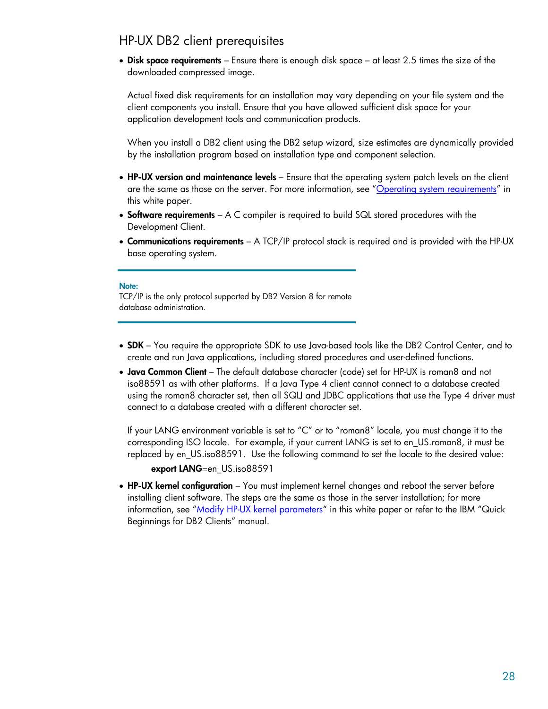# <span id="page-27-0"></span>HP-UX DB2 client prerequisites

• **Disk space requirements** – Ensure there is enough disk space – at least 2.5 times the size of the downloaded compressed image.

Actual fixed disk requirements for an installation may vary depending on your file system and the client components you install. Ensure that you have allowed sufficient disk space for your application development tools and communication products.

When you install a DB2 client using the DB2 setup wizard, size estimates are dynamically provided by the installation program based on installation type and component selection.

- **HP-UX version and maintenance levels**  Ensure that the operating system patch levels on the client are the same as those on the server. For more information, see "[Operating system requirements"](#page-8-0) in this white paper.
- **Software requirements** A C compiler is required to build SQL stored procedures with the Development Client.
- **Communications requirements** A TCP/IP protocol stack is required and is provided with the HP-UX base operating system.

#### **Note:**

TCP/IP is the only protocol supported by DB2 Version 8 for remote database administration.

- **SDK** You require the appropriate SDK to use Java-based tools like the DB2 Control Center, and to create and run Java applications, including stored procedures and user-defined functions.
- **Java Common Client** The default database character (code) set for HP-UX is roman8 and not iso88591 as with other platforms. If a Java Type 4 client cannot connect to a database created using the roman8 character set, then all SQLJ and JDBC applications that use the Type 4 driver must connect to a database created with a different character set.

If your LANG environment variable is set to "C" or to "roman8" locale, you must change it to the corresponding ISO locale. For example, if your current LANG is set to en\_US.roman8, it must be replaced by en\_US.iso88591. Use the following command to set the locale to the desired value:

**export LANG**=en US.iso88591

• **HP-UX kernel configuration** – You must implement kernel changes and reboot the server before installing client software. The steps are the same as those in the server installation; for more information, see "[Modify HP-UX kernel parameters"](#page-10-0) in this white paper or refer to the IBM "Quick Beginnings for DB2 Clients" manual.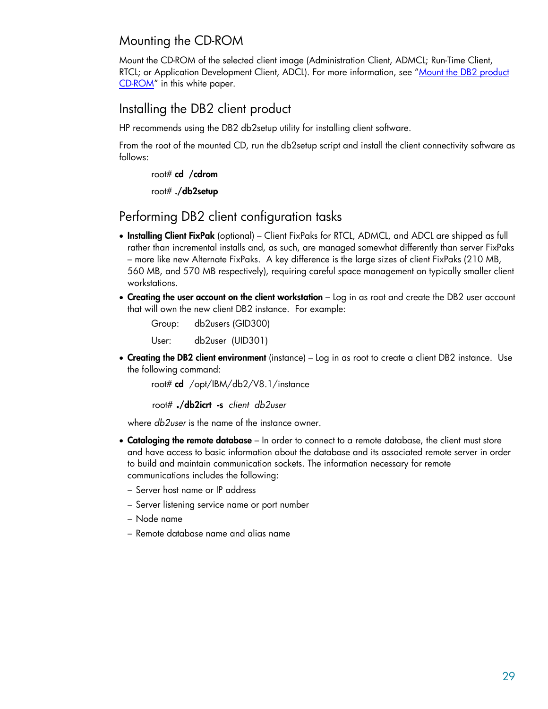# <span id="page-28-0"></span>Mounting the CD-ROM

Mount the CD-ROM of the selected client image (Administration Client, ADMCL; Run-Time Client, RTCL; or Application Development Client, ADCL). For more information, see ["Mount the DB2 product](#page-9-0) [CD-ROM](#page-9-0)" in this white paper.

# Installing the DB2 client product

HP recommends using the DB2 db2setup utility for installing client software.

From the root of the mounted CD, run the db2setup script and install the client connectivity software as follows:

root# **cd /cdrom**

root# **./db2setup**

# Performing DB2 client configuration tasks

- **Installing Client FixPak** (optional) Client FixPaks for RTCL, ADMCL, and ADCL are shipped as full rather than incremental installs and, as such, are managed somewhat differently than server FixPaks – more like new Alternate FixPaks. A key difference is the large sizes of client FixPaks (210 MB, 560 MB, and 570 MB respectively), requiring careful space management on typically smaller client workstations.
- **Creating the user account on the client workstation** Log in as root and create the DB2 user account that will own the new client DB2 instance. For example:

 Group: db2users (GID300) User: db2user (UID301)

• **Creating the DB2 client environment** (instance) – Log in as root to create a client DB2 instance. Use the following command:

root# **cd** /opt/IBM/db2/V8.1/instance

root# **./db2icrt -s** *client db2user* 

where *db2user* is the name of the instance owner.

- **Cataloging the remote database** In order to connect to a remote database, the client must store and have access to basic information about the database and its associated remote server in order to build and maintain communication sockets. The information necessary for remote communications includes the following:
	- Server host name or IP address
	- Server listening service name or port number
	- Node name
	- Remote database name and alias name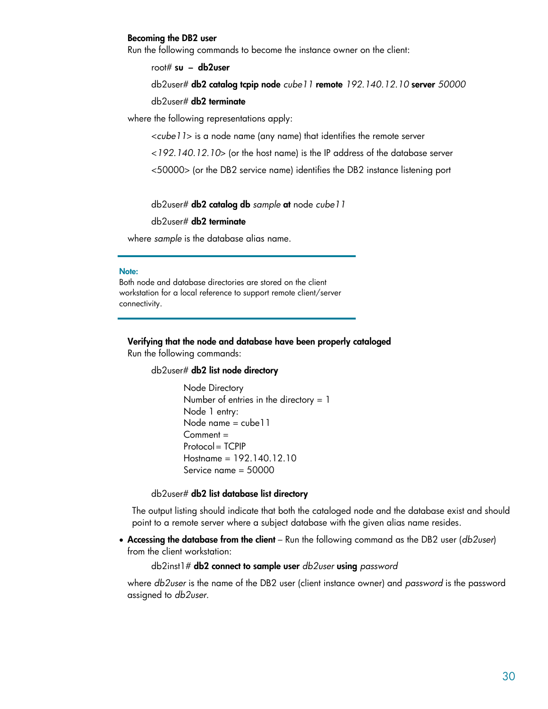#### **Becoming the DB2 user**

Run the following commands to become the instance owner on the client:

root# **su – db2user**

 db2user# **db2 catalog tcpip node** *cube11* **remote** *192.140.12.10* **server** *50000* db2user# **db2 terminate** 

where the following representations apply:

<*cube11*> is a node name (any name) that identifies the remote server

<*192.140.12.10*> (or the host name) is the IP address of the database server

<50000> (or the DB2 service name) identifies the DB2 instance listening port

db2user# **db2 catalog db** *sample* **at** node *cube11*

db2user# **db2 terminate**

where *sample* is the database alias name.

#### **Note:**

Both node and database directories are stored on the client workstation for a local reference to support remote client/server connectivity.

**Verifying that the node and database have been properly cataloged** Run the following commands:

#### db2user# **db2 list node directory**

Node Directory Number of entries in the directory  $= 1$ Node 1 entry: Node name = cube11 Comment = Protocol = TCPIP Hostname = 192.140.12.10 Service name = 50000

#### db2user# **db2 list database list directory**

The output listing should indicate that both the cataloged node and the database exist and should point to a remote server where a subject database with the given alias name resides.

• **Accessing the database from the client** – Run the following command as the DB2 user (*db2user*) from the client workstation:

```
 db2inst1# db2 connect to sample user db2user using password
```
where *db2user* is the name of the DB2 user (client instance owner) and *password* is the password assigned to *db2user*.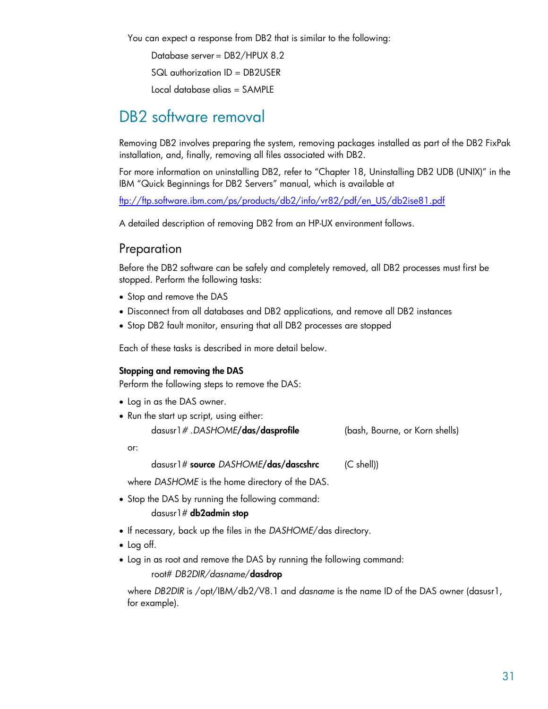<span id="page-30-0"></span>You can expect a response from DB2 that is similar to the following:

Database server = DB2/HPUX 8.2

SQL authorization ID = DB2USER

Local database alias = SAMPLE

# DB2 software removal

Removing DB2 involves preparing the system, removing packages installed as part of the DB2 FixPak installation, and, finally, removing all files associated with DB2.

For more information on uninstalling DB2, refer to "Chapter 18, Uninstalling DB2 UDB (UNIX)" in the IBM "Quick Beginnings for DB2 Servers" manual, which is available at

[ftp://ftp.software.ibm.com/ps/products/db2/info/vr82/pdf/en\\_US/db2ise81.pdf](ftp://ftp.software.ibm.com/ps/products/db2/info/vr82/pdf/en_US/db2ise81.pdf)

A detailed description of removing DB2 from an HP-UX environment follows.

# Preparation

Before the DB2 software can be safely and completely removed, all DB2 processes must first be stopped. Perform the following tasks:

- Stop and remove the DAS
- Disconnect from all databases and DB2 applications, and remove all DB2 instances
- Stop DB2 fault monitor, ensuring that all DB2 processes are stopped

Each of these tasks is described in more detail below.

#### **Stopping and removing the DAS**

Perform the following steps to remove the DAS:

- Log in as the DAS owner.
- Run the start up script, using either:

| dasusr1#.DASHOME/ <b>das/dasprofile</b> | (bash, Bourne, or Korn shells) |
|-----------------------------------------|--------------------------------|
|-----------------------------------------|--------------------------------|

or:

dasusr1# **source** *DASHOME***/das/dascshrc** (C shell))

where *DASHOME* is the home directory of the DAS.

- Stop the DAS by running the following command: dasusr1# **db2admin stop**
- If necessary, back up the files in the *DASHOME*/das directory.
- Log off.
- Log in as root and remove the DAS by running the following command:

root# *DB2DIR/dasname*/**dasdrop** 

where *DB2DIR* is /opt/IBM/db2/V8.1 and *dasname* is the name ID of the DAS owner (dasusr1, for example).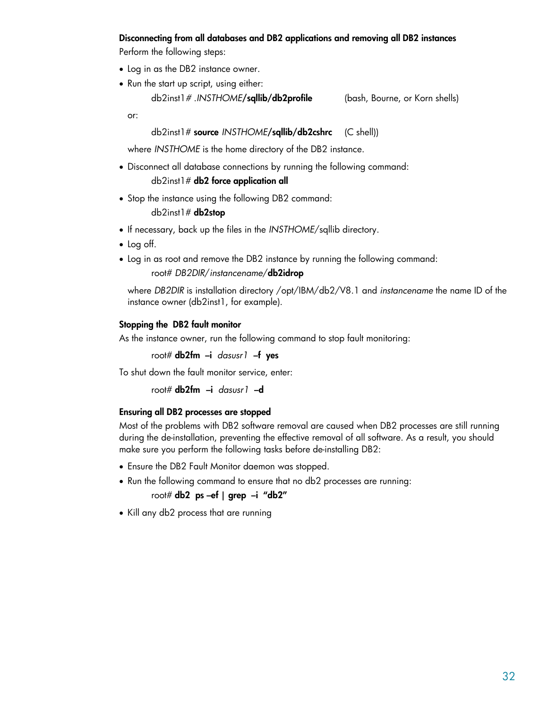#### <span id="page-31-0"></span>**Disconnecting from all databases and DB2 applications and removing all DB2 instances**

Perform the following steps:

- Log in as the DB2 instance owner.
- Run the start up script, using either: db2inst1*#* .*INSTHOME***/sqllib/db2profile** (bash, Bourne, or Korn shells)

or:

#### db2inst1# **source** *INSTHOME***/sqllib/db2cshrc** (C shell))

where *INSTHOME* is the home directory of the DB2 instance.

- Disconnect all database connections by running the following command: db2inst1# **db2 force application all**
- Stop the instance using the following DB2 command: db2inst1# **db2stop**
- If necessary, back up the files in the *INSTHOME*/sqllib directory.
- Log off.
- Log in as root and remove the DB2 instance by running the following command:

```
 root# DB2DIR/instancename/db2idrop
```

```
where DB2DIR is installation directory /opt/IBM/db2/V8.1 and instancename the name ID of the 
instance owner (db2inst1, for example).
```
#### **Stopping the DB2 fault monitor**

As the instance owner, run the following command to stop fault monitoring:

root# **db2fm –i** *dasusr1* **–f yes**

To shut down the fault monitor service, enter:

root# **db2fm –i** *dasusr1* **–d**

#### **Ensuring all DB2 processes are stopped**

Most of the problems with DB2 software removal are caused when DB2 processes are still running during the de-installation, preventing the effective removal of all software. As a result, you should make sure you perform the following tasks before de-installing DB2:

- Ensure the DB2 Fault Monitor daemon was stopped.
- Run the following command to ensure that no db2 processes are running:

root# **db2 ps –ef | grep –i "db2"**

• Kill any db2 process that are running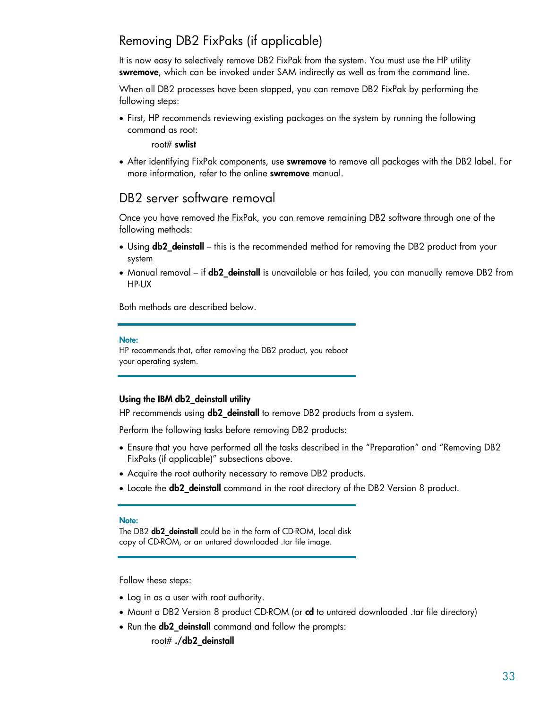# <span id="page-32-0"></span>Removing DB2 FixPaks (if applicable)

It is now easy to selectively remove DB2 FixPak from the system. You must use the HP utility **swremove**, which can be invoked under SAM indirectly as well as from the command line.

When all DB2 processes have been stopped, you can remove DB2 FixPak by performing the following steps:

• First, HP recommends reviewing existing packages on the system by running the following command as root:

root# **swlist** 

• After identifying FixPak components, use **swremove** to remove all packages with the DB2 label. For more information, refer to the online **swremove** manual.

# DB2 server software removal

Once you have removed the FixPak, you can remove remaining DB2 software through one of the following methods:

- Using **db2\_deinstall** this is the recommended method for removing the DB2 product from your system
- Manual removal if **db2\_deinstall** is unavailable or has failed, you can manually remove DB2 from HP-UX

Both methods are described below.

#### **Note:**

HP recommends that, after removing the DB2 product, you reboot your operating system.

#### **Using the IBM db2\_deinstall utility**

HP recommends using **db2\_deinstall** to remove DB2 products from a system.

Perform the following tasks before removing DB2 products:

- Ensure that you have performed all the tasks described in the "Preparation" and "Removing DB2 FixPaks (if applicable)" subsections above.
- Acquire the root authority necessary to remove DB2 products.
- Locate the **db2\_deinstall** command in the root directory of the DB2 Version 8 product.

#### **Note:**

The DB2 **db2** deinstall could be in the form of CD-ROM, local disk copy of CD-ROM, or an untared downloaded .tar file image.

Follow these steps:

- Log in as a user with root authority.
- Mount a DB2 Version 8 product CD-ROM (or **cd** to untared downloaded .tar file directory)
- Run the **db2\_deinstall** command and follow the prompts:

root# **./db2\_deinstall**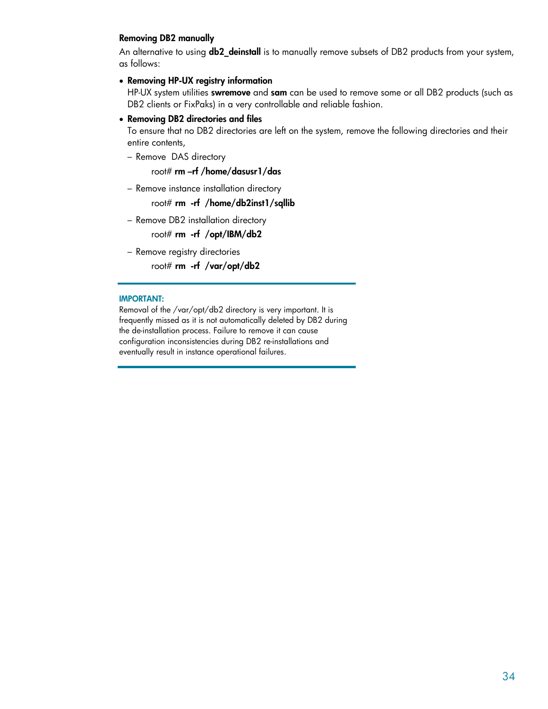#### <span id="page-33-0"></span>**Removing DB2 manually**

An alternative to using **db2\_deinstall** is to manually remove subsets of DB2 products from your system, as follows:

#### • **Removing HP-UX registry information**

HP-UX system utilities **swremove** and **sam** can be used to remove some or all DB2 products (such as DB2 clients or FixPaks) in a very controllable and reliable fashion.

#### • **Removing DB2 directories and files**

To ensure that no DB2 directories are left on the system, remove the following directories and their entire contents,

– Remove DAS directory

root# **rm –rf /home/dasusr1/das**

– Remove instance installation directory

root# **rm -rf /home/db2inst1/sqllib** 

– Remove DB2 installation directory

root# **rm -rf /opt/IBM/db2** 

– Remove registry directories root# **rm -rf /var/opt/db2** 

#### **IMPORTANT:**

Removal of the /var/opt/db2 directory is very important. It is frequently missed as it is not automatically deleted by DB2 during the de-installation process. Failure to remove it can cause configuration inconsistencies during DB2 re-installations and eventually result in instance operational failures.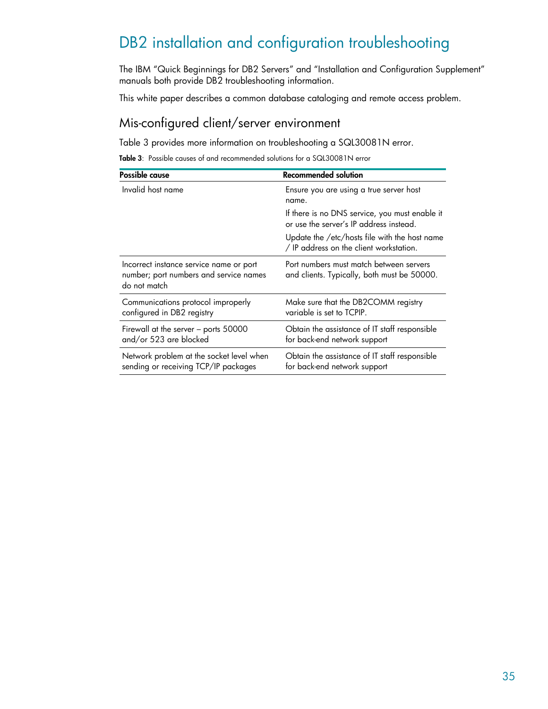# <span id="page-34-0"></span>DB2 installation and configuration troubleshooting

The IBM "Quick Beginnings for DB2 Servers" and "Installation and Configuration Supplement" manuals both provide DB2 troubleshooting information.

This white paper describes a common database cataloging and remote access problem.

# Mis-configured client/server environment

Table 3 provides more information on troubleshooting a SQL30081N error.

**Table 3**: Possible causes of and recommended solutions for a SQL30081N error

| Possible cause                                                                                    | <b>Recommended solution</b>                                                               |  |
|---------------------------------------------------------------------------------------------------|-------------------------------------------------------------------------------------------|--|
| Invalid host name                                                                                 | Ensure you are using a true server host<br>name.                                          |  |
|                                                                                                   | If there is no DNS service, you must enable it<br>or use the server's IP address instead. |  |
|                                                                                                   | Update the /etc/hosts file with the host name<br>/ IP address on the client workstation.  |  |
| Incorrect instance service name or port<br>number; port numbers and service names<br>do not match | Port numbers must match between servers<br>and clients. Typically, both must be 50000.    |  |
| Communications protocol improperly<br>configured in DB2 registry                                  | Make sure that the DB2COMM registry<br>variable is set to TCPIP.                          |  |
| Firewall at the server - ports 50000<br>and/or 523 are blocked                                    | Obtain the assistance of IT staff responsible<br>for back-end network support             |  |
| Network problem at the socket level when<br>sending or receiving TCP/IP packages                  | Obtain the assistance of IT staff responsible<br>for back-end network support             |  |